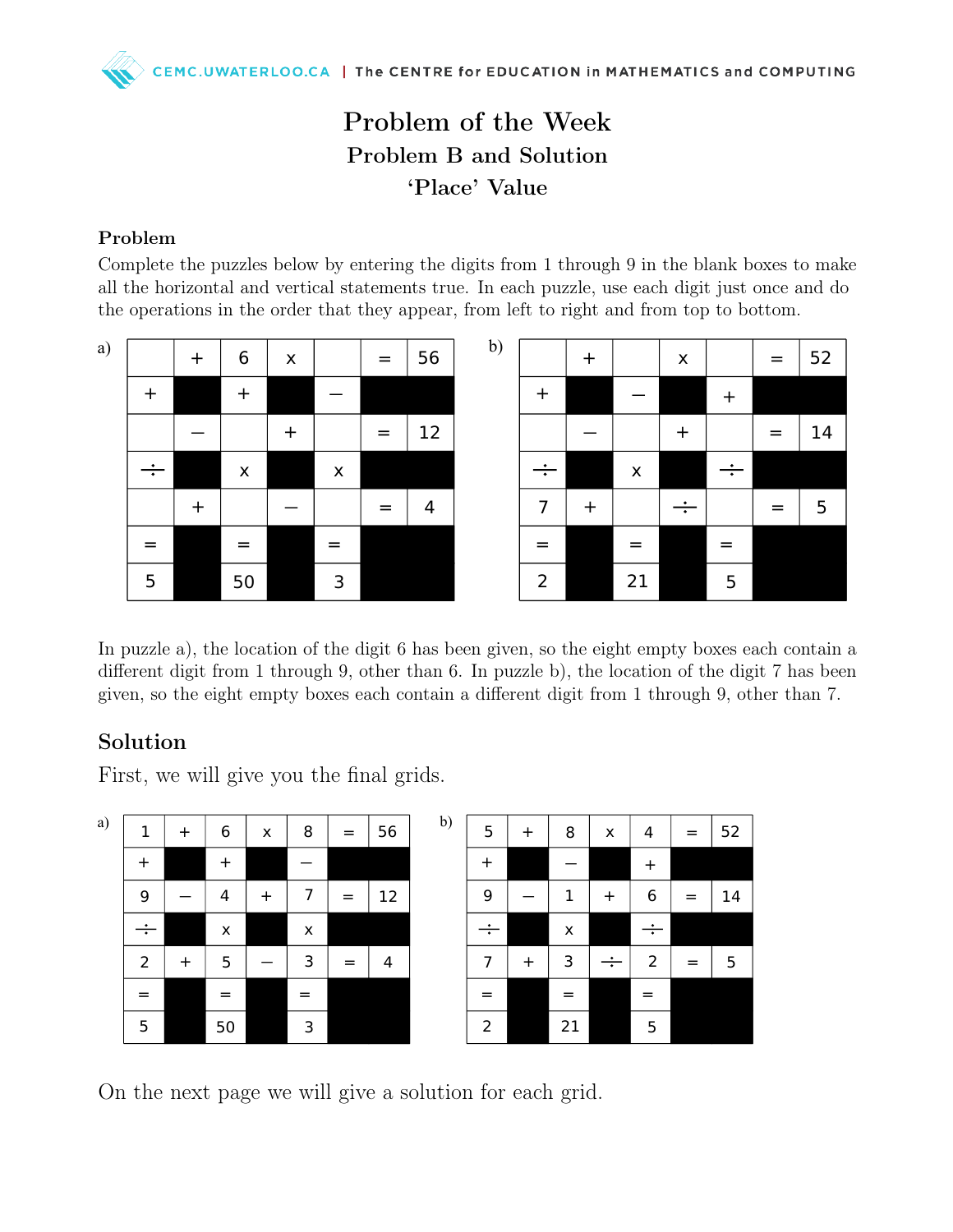# Problem of the Week Problem B and Solution 'Place' Value

### Problem

Complete the puzzles below by entering the digits from 1 through 9 in the blank boxes to make all the horizontal and vertical statements true. In each puzzle, use each digit just once and do the operations in the order that they appear, from left to right and from top to bottom.

| a) |                                  | $\ddagger$ | $\boldsymbol{6}$   | $\pmb{\times}$ |                    | $=$ | 56 | $\mathbf{b}$ |
|----|----------------------------------|------------|--------------------|----------------|--------------------|-----|----|--------------|
|    | $\begin{array}{c} + \end{array}$ |            | $\ddag$            |                |                    |     |    |              |
|    |                                  |            |                    | $\ddagger$     |                    | $=$ | 12 |              |
|    | ÷                                |            | $\pmb{\mathsf{X}}$ |                | $\pmb{\mathsf{X}}$ |     |    |              |
|    |                                  | $\ddag$    |                    |                |                    |     | 4  |              |
|    | =                                |            | $=$                |                | $=$                |     |    |              |
|    | 5                                |            | 50                 |                | 3                  |     |    |              |

|                | $\mathbf +$ |                | $\pmb{\times}$ |         |     | 52 |
|----------------|-------------|----------------|----------------|---------|-----|----|
| $\ddag$        |             |                |                | $\ddag$ |     |    |
|                |             |                | $\bm{+}$       |         | $=$ | 14 |
| ÷              |             | $\pmb{\times}$ |                | ÷       |     |    |
| 7              | $\ddag$     |                | ÷              |         | $=$ | 5  |
|                |             |                |                |         |     |    |
| $\overline{2}$ |             | 21             |                | 5       |     |    |

In puzzle a), the location of the digit 6 has been given, so the eight empty boxes each contain a different digit from 1 through 9, other than 6. In puzzle b), the location of the digit 7 has been given, so the eight empty boxes each contain a different digit from 1 through 9, other than 7.

## Solution

First, we will give you the final grids.



On the next page we will give a solution for each grid.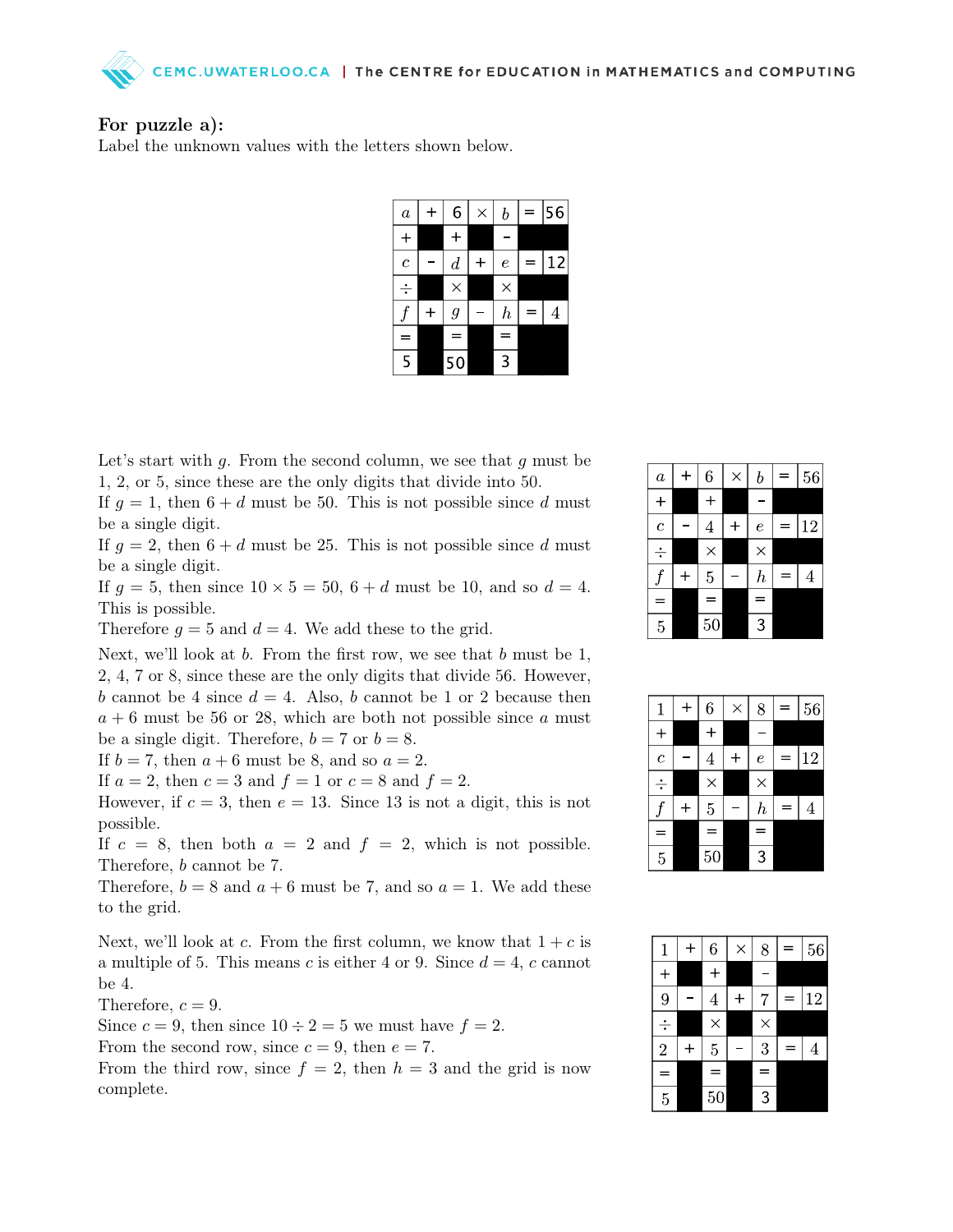

### For puzzle a):

Label the unknown values with the letters shown below.

| $\boldsymbol{a}$ |             | 6              | $\times$ | $\boldsymbol{b}$ | ═ | 56 |
|------------------|-------------|----------------|----------|------------------|---|----|
| $\div$           |             | ┿              |          |                  |   |    |
| $\overline{c}$   |             | $\overline{d}$ | ╋        | $\epsilon$       |   | 12 |
|                  |             | $\times$       |          | $\times$         |   |    |
|                  | $\mathbf +$ | $\mathfrak g$  |          | $\boldsymbol{h}$ |   | 4  |
| ═                |             | ⋍              |          | $=$              |   |    |
| 5                |             | 50             |          | 3                |   |    |

Let's start with  $g$ . From the second column, we see that  $g$  must be 1, 2, or 5, since these are the only digits that divide into 50.

If  $g = 1$ , then  $6 + d$  must be 50. This is not possible since d must be a single digit.

If  $g = 2$ , then  $6 + d$  must be 25. This is not possible since d must be a single digit.

If  $g = 5$ , then since  $10 \times 5 = 50$ ,  $6 + d$  must be 10, and so  $d = 4$ . This is possible.

Therefore  $g = 5$  and  $d = 4$ . We add these to the grid.

Next, we'll look at  $b$ . From the first row, we see that  $b$  must be 1, 2, 4, 7 or 8, since these are the only digits that divide 56. However, b cannot be 4 since  $d = 4$ . Also, b cannot be 1 or 2 because then  $a + 6$  must be 56 or 28, which are both not possible since a must be a single digit. Therefore,  $b = 7$  or  $b = 8$ .

If  $b = 7$ , then  $a + 6$  must be 8, and so  $a = 2$ .

If  $a = 2$ , then  $c = 3$  and  $f = 1$  or  $c = 8$  and  $f = 2$ .

However, if  $c = 3$ , then  $e = 13$ . Since 13 is not a digit, this is not possible.

If  $c = 8$ , then both  $a = 2$  and  $f = 2$ , which is not possible. Therefore, b cannot be 7.

Therefore,  $b = 8$  and  $a + 6$  must be 7, and so  $a = 1$ . We add these to the grid.

Next, we'll look at c. From the first column, we know that  $1+c$  is a multiple of 5. This means c is either 4 or 9. Since  $d = 4$ , c cannot be 4.

Therefore,  $c = 9$ .

Since  $c = 9$ , then since  $10 \div 2 = 5$  we must have  $f = 2$ .

From the second row, since  $c = 9$ , then  $e = 7$ .

From the third row, since  $f = 2$ , then  $h = 3$  and the grid is now complete.

| $\boldsymbol{a}$ | ┿ | 6              | $\times$ | $\boldsymbol{b}$ |   | 56     |
|------------------|---|----------------|----------|------------------|---|--------|
| $\mathrm{+}$     |   | $\, +$         |          |                  |   |        |
| $\overline{c}$   |   | 4              | $\ddag$  | $\boldsymbol{e}$ | = | $12\,$ |
| ÷                |   | $\times$       |          | $\times$         |   |        |
|                  |   | $\overline{5}$ |          | $\boldsymbol{h}$ | = | 4      |
| ═                |   | Ξ              |          | $\overline{a}$   |   |        |
| $\overline{5}$   |   | 50             |          | 3                |   |        |

| 1              | $\bm{+}$ | 6              | $\times$ | 8                |   | 56 |
|----------------|----------|----------------|----------|------------------|---|----|
| $\ddot{}$      |          | ┿              |          |                  |   |    |
| $\overline{c}$ |          | 4              |          | $\epsilon$       | = | 12 |
| ÷              |          | $\times$       |          | $\times$         |   |    |
|                | $\ddag$  | $\overline{5}$ |          | $\boldsymbol{h}$ |   | 4  |
|                |          | $\equiv$       |          | =                |   |    |
| $\overline{5}$ |          | 50             |          | 3                |   |    |

| $\mathbf{1}$   | 6              | $\times$ | 8        | Ξ | 56 |
|----------------|----------------|----------|----------|---|----|
| ╇              | $\pm$          |          |          |   |    |
| 9              | $\overline{4}$ | $\ddag$  | 7        |   | 12 |
| ÷              | $\times$       |          | $\times$ |   |    |
| $\overline{2}$ | $\overline{5}$ |          | 3        | - | 4  |
| $=$            | $\equiv$       |          | $\equiv$ |   |    |
| $\overline{5}$ | 50             |          | 3        |   |    |